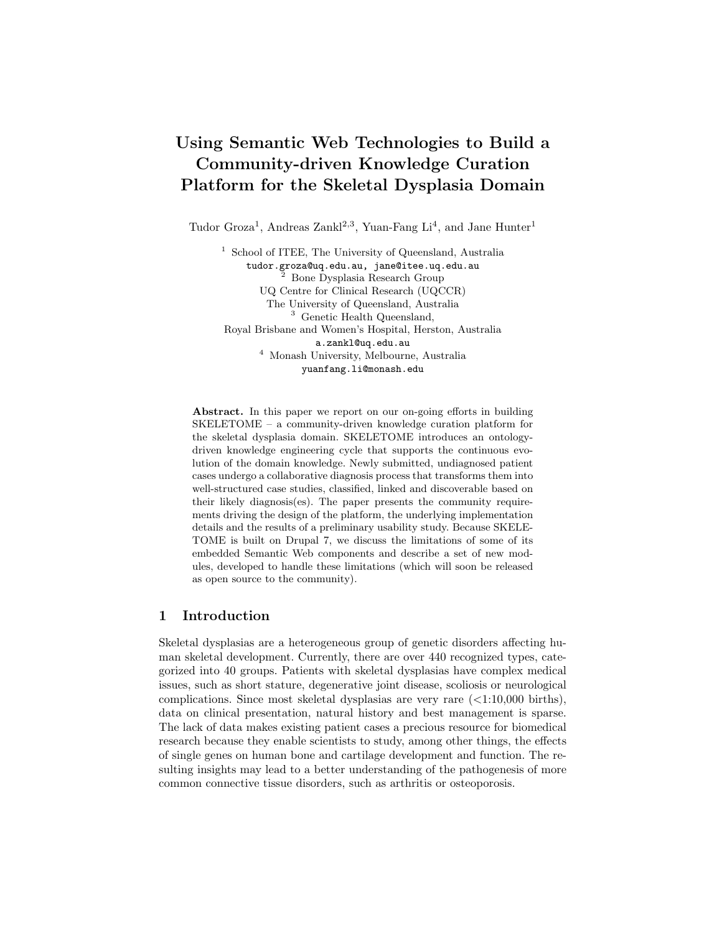# Using Semantic Web Technologies to Build a Community-driven Knowledge Curation Platform for the Skeletal Dysplasia Domain

Tudor Groza<sup>1</sup>, Andreas Zankl<sup>2,3</sup>, Yuan-Fang Li<sup>4</sup>, and Jane Hunter<sup>1</sup>

<sup>1</sup> School of ITEE, The University of Queensland, Australia tudor.groza@uq.edu.au, jane@itee.uq.edu.au <sup>2</sup> Bone Dysplasia Research Group UQ Centre for Clinical Research (UQCCR) The University of Queensland, Australia <sup>3</sup> Genetic Health Queensland, Royal Brisbane and Women's Hospital, Herston, Australia a.zankl@uq.edu.au <sup>4</sup> Monash University, Melbourne, Australia yuanfang.li@monash.edu

Abstract. In this paper we report on our on-going efforts in building SKELETOME – a community-driven knowledge curation platform for the skeletal dysplasia domain. SKELETOME introduces an ontologydriven knowledge engineering cycle that supports the continuous evolution of the domain knowledge. Newly submitted, undiagnosed patient cases undergo a collaborative diagnosis process that transforms them into well-structured case studies, classified, linked and discoverable based on their likely diagnosis(es). The paper presents the community requirements driving the design of the platform, the underlying implementation details and the results of a preliminary usability study. Because SKELE-TOME is built on Drupal 7, we discuss the limitations of some of its embedded Semantic Web components and describe a set of new modules, developed to handle these limitations (which will soon be released as open source to the community).

# 1 Introduction

Skeletal dysplasias are a heterogeneous group of genetic disorders affecting human skeletal development. Currently, there are over 440 recognized types, categorized into 40 groups. Patients with skeletal dysplasias have complex medical issues, such as short stature, degenerative joint disease, scoliosis or neurological complications. Since most skeletal dysplasias are very rare  $\left($  <1:10,000 births), data on clinical presentation, natural history and best management is sparse. The lack of data makes existing patient cases a precious resource for biomedical research because they enable scientists to study, among other things, the effects of single genes on human bone and cartilage development and function. The resulting insights may lead to a better understanding of the pathogenesis of more common connective tissue disorders, such as arthritis or osteoporosis.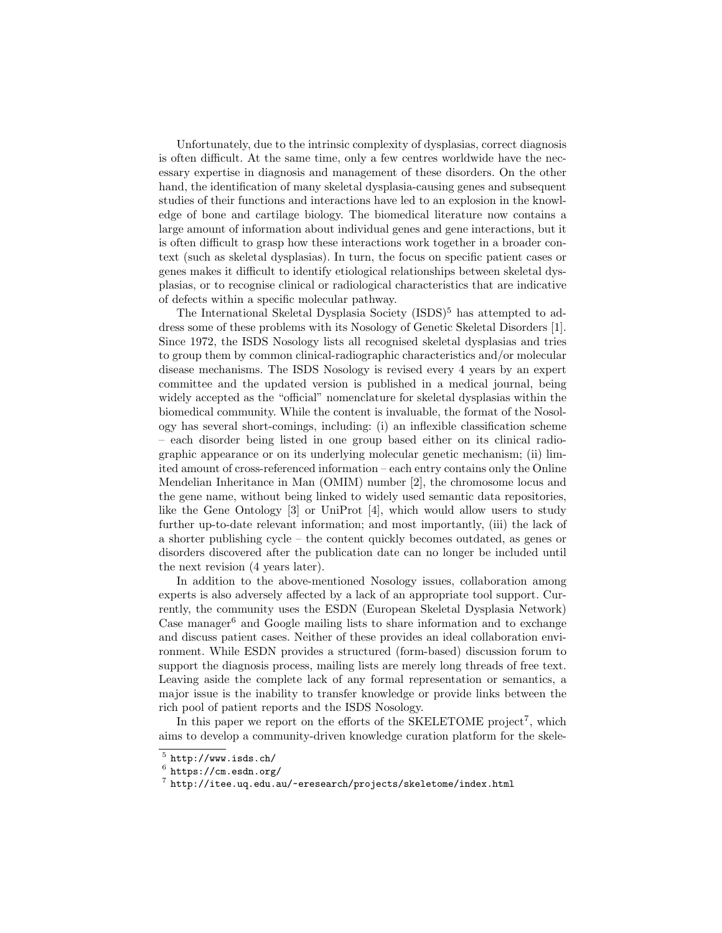Unfortunately, due to the intrinsic complexity of dysplasias, correct diagnosis is often difficult. At the same time, only a few centres worldwide have the necessary expertise in diagnosis and management of these disorders. On the other hand, the identification of many skeletal dysplasia-causing genes and subsequent studies of their functions and interactions have led to an explosion in the knowledge of bone and cartilage biology. The biomedical literature now contains a large amount of information about individual genes and gene interactions, but it is often difficult to grasp how these interactions work together in a broader context (such as skeletal dysplasias). In turn, the focus on specific patient cases or genes makes it difficult to identify etiological relationships between skeletal dysplasias, or to recognise clinical or radiological characteristics that are indicative of defects within a specific molecular pathway.

The International Skeletal Dysplasia Society  $(ISDS)^5$  has attempted to address some of these problems with its Nosology of Genetic Skeletal Disorders [1]. Since 1972, the ISDS Nosology lists all recognised skeletal dysplasias and tries to group them by common clinical-radiographic characteristics and/or molecular disease mechanisms. The ISDS Nosology is revised every 4 years by an expert committee and the updated version is published in a medical journal, being widely accepted as the "official" nomenclature for skeletal dysplasias within the biomedical community. While the content is invaluable, the format of the Nosology has several short-comings, including: (i) an inflexible classification scheme – each disorder being listed in one group based either on its clinical radiographic appearance or on its underlying molecular genetic mechanism; (ii) limited amount of cross-referenced information – each entry contains only the Online Mendelian Inheritance in Man (OMIM) number [2], the chromosome locus and the gene name, without being linked to widely used semantic data repositories, like the Gene Ontology [3] or UniProt [4], which would allow users to study further up-to-date relevant information; and most importantly, (iii) the lack of a shorter publishing cycle – the content quickly becomes outdated, as genes or disorders discovered after the publication date can no longer be included until the next revision (4 years later).

In addition to the above-mentioned Nosology issues, collaboration among experts is also adversely affected by a lack of an appropriate tool support. Currently, the community uses the ESDN (European Skeletal Dysplasia Network) Case manager $<sup>6</sup>$  and Google mailing lists to share information and to exchange</sup> and discuss patient cases. Neither of these provides an ideal collaboration environment. While ESDN provides a structured (form-based) discussion forum to support the diagnosis process, mailing lists are merely long threads of free text. Leaving aside the complete lack of any formal representation or semantics, a major issue is the inability to transfer knowledge or provide links between the rich pool of patient reports and the ISDS Nosology.

In this paper we report on the efforts of the SKELETOME project<sup>7</sup>, which aims to develop a community-driven knowledge curation platform for the skele-

 $5$ http://www.isds.ch/

 $^6$  https://cm.esdn.org/

 $^7$  http://itee.uq.edu.au/~eresearch/projects/skeletome/index.html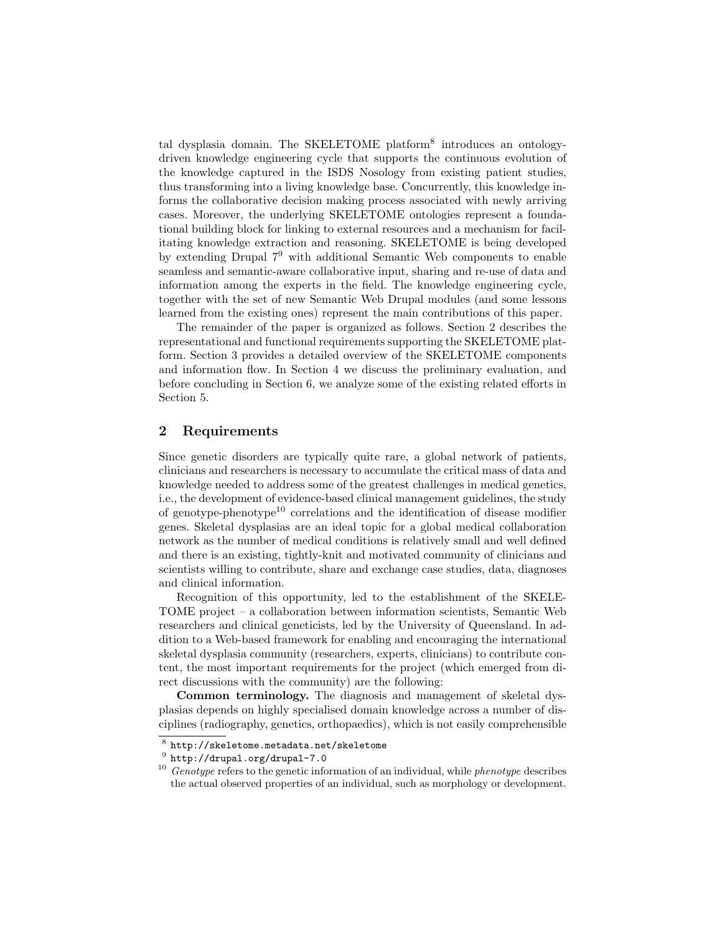tal dysplasia domain. The SKELETOME platform<sup>8</sup> introduces an ontologydriven knowledge engineering cycle that supports the continuous evolution of the knowledge captured in the ISDS Nosology from existing patient studies, thus transforming into a living knowledge base. Concurrently, this knowledge informs the collaborative decision making process associated with newly arriving cases. Moreover, the underlying SKELETOME ontologies represent a foundational building block for linking to external resources and a mechanism for facilitating knowledge extraction and reasoning. SKELETOME is being developed by extending Drupal  $7<sup>9</sup>$  with additional Semantic Web components to enable seamless and semantic-aware collaborative input, sharing and re-use of data and information among the experts in the field. The knowledge engineering cycle, together with the set of new Semantic Web Drupal modules (and some lessons learned from the existing ones) represent the main contributions of this paper.

The remainder of the paper is organized as follows. Section 2 describes the representational and functional requirements supporting the SKELETOME platform. Section 3 provides a detailed overview of the SKELETOME components and information flow. In Section 4 we discuss the preliminary evaluation, and before concluding in Section 6, we analyze some of the existing related efforts in Section 5.

# 2 Requirements

Since genetic disorders are typically quite rare, a global network of patients, clinicians and researchers is necessary to accumulate the critical mass of data and knowledge needed to address some of the greatest challenges in medical genetics, i.e., the development of evidence-based clinical management guidelines, the study of genotype-phenotype<sup>10</sup> correlations and the identification of disease modifier genes. Skeletal dysplasias are an ideal topic for a global medical collaboration network as the number of medical conditions is relatively small and well defined and there is an existing, tightly-knit and motivated community of clinicians and scientists willing to contribute, share and exchange case studies, data, diagnoses and clinical information.

Recognition of this opportunity, led to the establishment of the SKELE-TOME project – a collaboration between information scientists, Semantic Web researchers and clinical geneticists, led by the University of Queensland. In addition to a Web-based framework for enabling and encouraging the international skeletal dysplasia community (researchers, experts, clinicians) to contribute content, the most important requirements for the project (which emerged from direct discussions with the community) are the following:

Common terminology. The diagnosis and management of skeletal dysplasias depends on highly specialised domain knowledge across a number of disciplines (radiography, genetics, orthopaedics), which is not easily comprehensible

 $^8$  http://skeletome.metadata.net/skeletome

 $^9$  http://drupal.org/drupal-7.0

 $10$  Genotype refers to the genetic information of an individual, while phenotype describes the actual observed properties of an individual, such as morphology or development.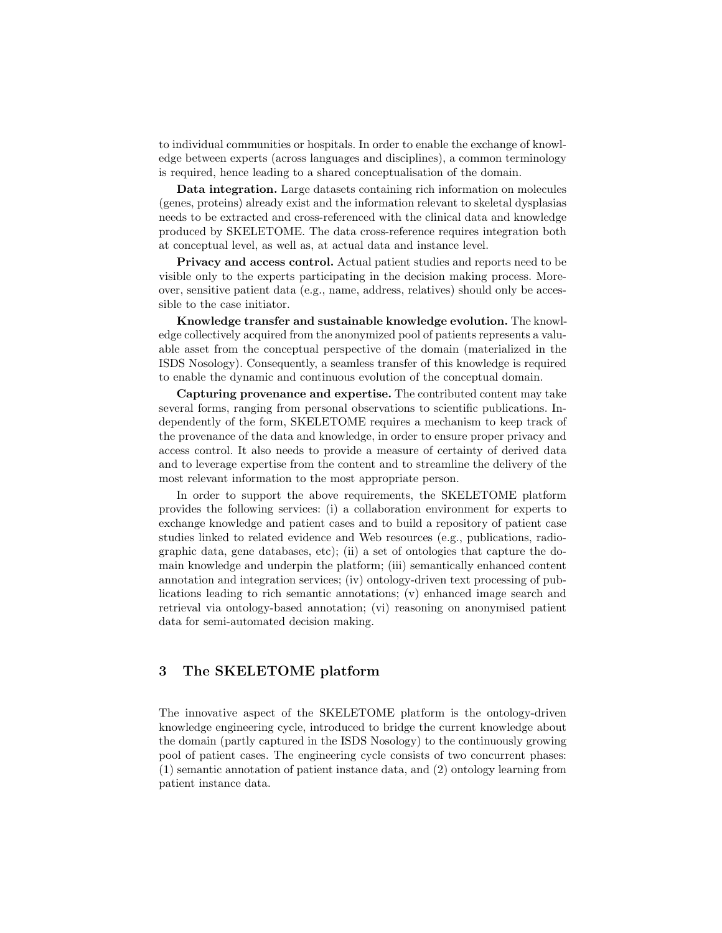to individual communities or hospitals. In order to enable the exchange of knowledge between experts (across languages and disciplines), a common terminology is required, hence leading to a shared conceptualisation of the domain.

Data integration. Large datasets containing rich information on molecules (genes, proteins) already exist and the information relevant to skeletal dysplasias needs to be extracted and cross-referenced with the clinical data and knowledge produced by SKELETOME. The data cross-reference requires integration both at conceptual level, as well as, at actual data and instance level.

Privacy and access control. Actual patient studies and reports need to be visible only to the experts participating in the decision making process. Moreover, sensitive patient data (e.g., name, address, relatives) should only be accessible to the case initiator.

Knowledge transfer and sustainable knowledge evolution. The knowledge collectively acquired from the anonymized pool of patients represents a valuable asset from the conceptual perspective of the domain (materialized in the ISDS Nosology). Consequently, a seamless transfer of this knowledge is required to enable the dynamic and continuous evolution of the conceptual domain.

Capturing provenance and expertise. The contributed content may take several forms, ranging from personal observations to scientific publications. Independently of the form, SKELETOME requires a mechanism to keep track of the provenance of the data and knowledge, in order to ensure proper privacy and access control. It also needs to provide a measure of certainty of derived data and to leverage expertise from the content and to streamline the delivery of the most relevant information to the most appropriate person.

In order to support the above requirements, the SKELETOME platform provides the following services: (i) a collaboration environment for experts to exchange knowledge and patient cases and to build a repository of patient case studies linked to related evidence and Web resources (e.g., publications, radiographic data, gene databases, etc); (ii) a set of ontologies that capture the domain knowledge and underpin the platform; (iii) semantically enhanced content annotation and integration services; (iv) ontology-driven text processing of publications leading to rich semantic annotations; (v) enhanced image search and retrieval via ontology-based annotation; (vi) reasoning on anonymised patient data for semi-automated decision making.

# 3 The SKELETOME platform

The innovative aspect of the SKELETOME platform is the ontology-driven knowledge engineering cycle, introduced to bridge the current knowledge about the domain (partly captured in the ISDS Nosology) to the continuously growing pool of patient cases. The engineering cycle consists of two concurrent phases: (1) semantic annotation of patient instance data, and (2) ontology learning from patient instance data.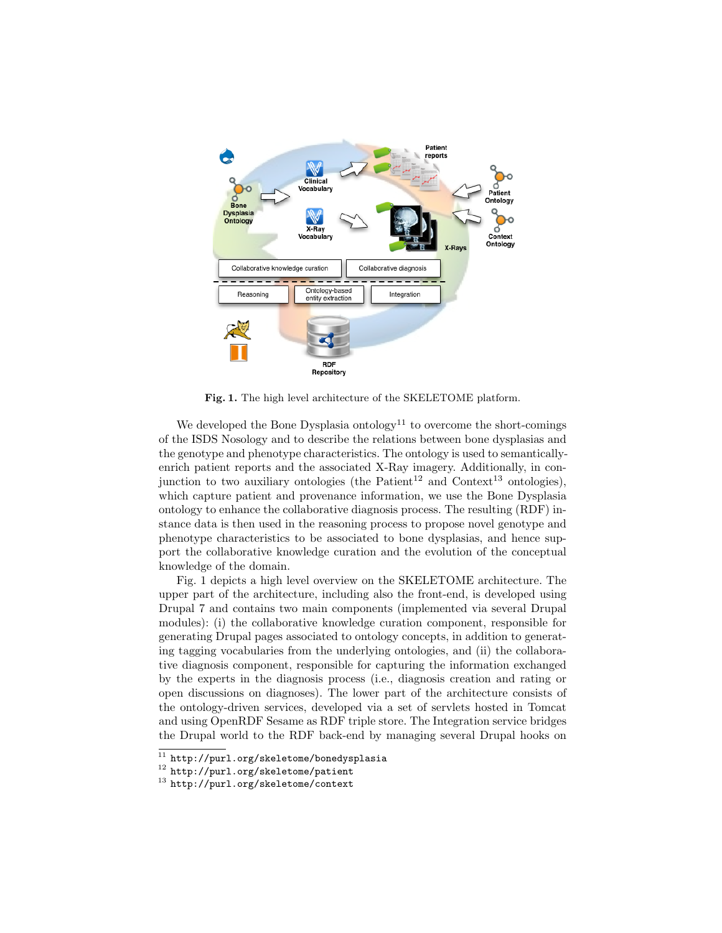

Fig. 1. The high level architecture of the SKELETOME platform.

We developed the Bone Dysplasia ontology<sup>11</sup> to overcome the short-comings of the ISDS Nosology and to describe the relations between bone dysplasias and the genotype and phenotype characteristics. The ontology is used to semanticallyenrich patient reports and the associated X-Ray imagery. Additionally, in conjunction to two auxiliary ontologies (the Patient<sup>12</sup> and Context<sup>13</sup> ontologies), which capture patient and provenance information, we use the Bone Dysplasia ontology to enhance the collaborative diagnosis process. The resulting (RDF) instance data is then used in the reasoning process to propose novel genotype and phenotype characteristics to be associated to bone dysplasias, and hence support the collaborative knowledge curation and the evolution of the conceptual knowledge of the domain.

Fig. 1 depicts a high level overview on the SKELETOME architecture. The upper part of the architecture, including also the front-end, is developed using Drupal 7 and contains two main components (implemented via several Drupal modules): (i) the collaborative knowledge curation component, responsible for generating Drupal pages associated to ontology concepts, in addition to generating tagging vocabularies from the underlying ontologies, and (ii) the collaborative diagnosis component, responsible for capturing the information exchanged by the experts in the diagnosis process (i.e., diagnosis creation and rating or open discussions on diagnoses). The lower part of the architecture consists of the ontology-driven services, developed via a set of servlets hosted in Tomcat and using OpenRDF Sesame as RDF triple store. The Integration service bridges the Drupal world to the RDF back-end by managing several Drupal hooks on

 $11$  http://purl.org/skeletome/bonedysplasia

<sup>12</sup> http://purl.org/skeletome/patient

<sup>13</sup> http://purl.org/skeletome/context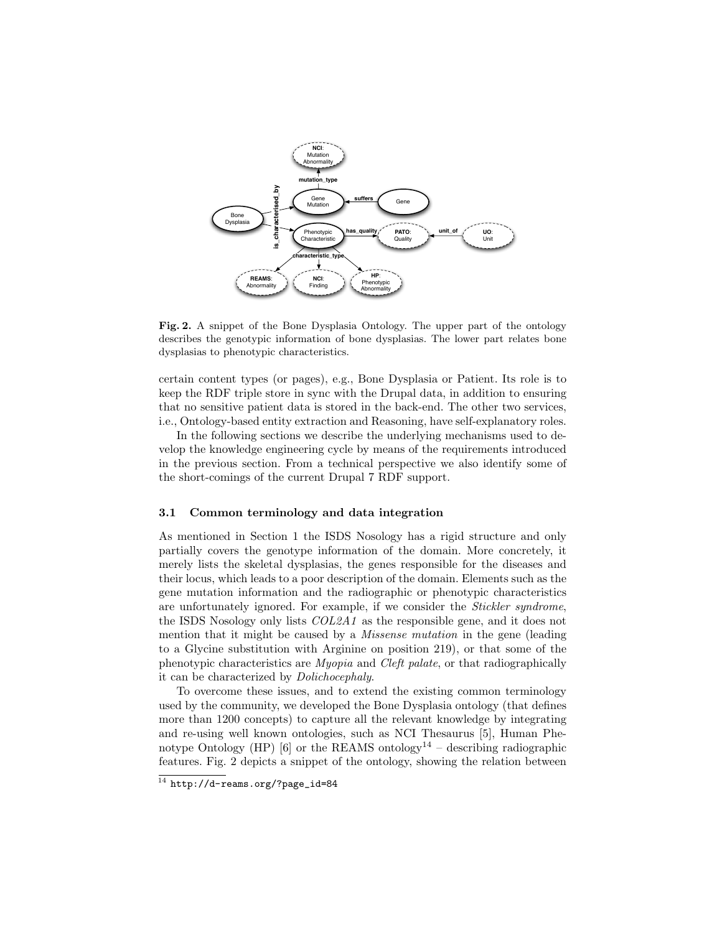

Fig. 2. A snippet of the Bone Dysplasia Ontology. The upper part of the ontology describes the genotypic information of bone dysplasias. The lower part relates bone dysplasias to phenotypic characteristics.

certain content types (or pages), e.g., Bone Dysplasia or Patient. Its role is to keep the RDF triple store in sync with the Drupal data, in addition to ensuring that no sensitive patient data is stored in the back-end. The other two services, i.e., Ontology-based entity extraction and Reasoning, have self-explanatory roles.

In the following sections we describe the underlying mechanisms used to develop the knowledge engineering cycle by means of the requirements introduced in the previous section. From a technical perspective we also identify some of the short-comings of the current Drupal 7 RDF support.

## 3.1 Common terminology and data integration

As mentioned in Section 1 the ISDS Nosology has a rigid structure and only partially covers the genotype information of the domain. More concretely, it merely lists the skeletal dysplasias, the genes responsible for the diseases and their locus, which leads to a poor description of the domain. Elements such as the gene mutation information and the radiographic or phenotypic characteristics are unfortunately ignored. For example, if we consider the Stickler syndrome, the ISDS Nosology only lists COL2A1 as the responsible gene, and it does not mention that it might be caused by a Missense mutation in the gene (leading to a Glycine substitution with Arginine on position 219), or that some of the phenotypic characteristics are Myopia and Cleft palate, or that radiographically it can be characterized by Dolichocephaly.

To overcome these issues, and to extend the existing common terminology used by the community, we developed the Bone Dysplasia ontology (that defines more than 1200 concepts) to capture all the relevant knowledge by integrating and re-using well known ontologies, such as NCI Thesaurus [5], Human Phenotype Ontology (HP) [6] or the REAMS ontology<sup>14</sup> – describing radiographic features. Fig. 2 depicts a snippet of the ontology, showing the relation between

 $14$  http://d-reams.org/?page\_id=84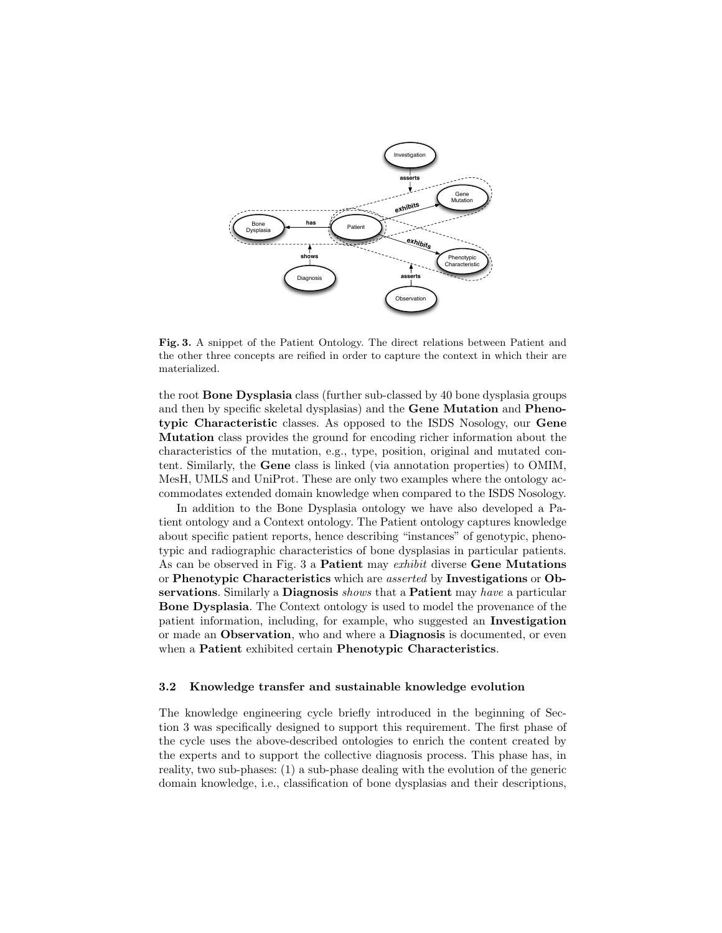

Fig. 3. A snippet of the Patient Ontology. The direct relations between Patient and the other three concepts are reified in order to capture the context in which their are materialized.

the root Bone Dysplasia class (further sub-classed by 40 bone dysplasia groups and then by specific skeletal dysplasias) and the Gene Mutation and Phenotypic Characteristic classes. As opposed to the ISDS Nosology, our Gene Mutation class provides the ground for encoding richer information about the characteristics of the mutation, e.g., type, position, original and mutated content. Similarly, the Gene class is linked (via annotation properties) to OMIM, MesH, UMLS and UniProt. These are only two examples where the ontology accommodates extended domain knowledge when compared to the ISDS Nosology.

In addition to the Bone Dysplasia ontology we have also developed a Patient ontology and a Context ontology. The Patient ontology captures knowledge about specific patient reports, hence describing "instances" of genotypic, phenotypic and radiographic characteristics of bone dysplasias in particular patients. As can be observed in Fig. 3 a **Patient** may exhibit diverse **Gene Mutations** or Phenotypic Characteristics which are asserted by Investigations or Observations. Similarly a Diagnosis *shows* that a Patient may have a particular Bone Dysplasia. The Context ontology is used to model the provenance of the patient information, including, for example, who suggested an Investigation or made an Observation, who and where a Diagnosis is documented, or even when a Patient exhibited certain Phenotypic Characteristics.

## 3.2 Knowledge transfer and sustainable knowledge evolution

The knowledge engineering cycle briefly introduced in the beginning of Section 3 was specifically designed to support this requirement. The first phase of the cycle uses the above-described ontologies to enrich the content created by the experts and to support the collective diagnosis process. This phase has, in reality, two sub-phases: (1) a sub-phase dealing with the evolution of the generic domain knowledge, i.e., classification of bone dysplasias and their descriptions,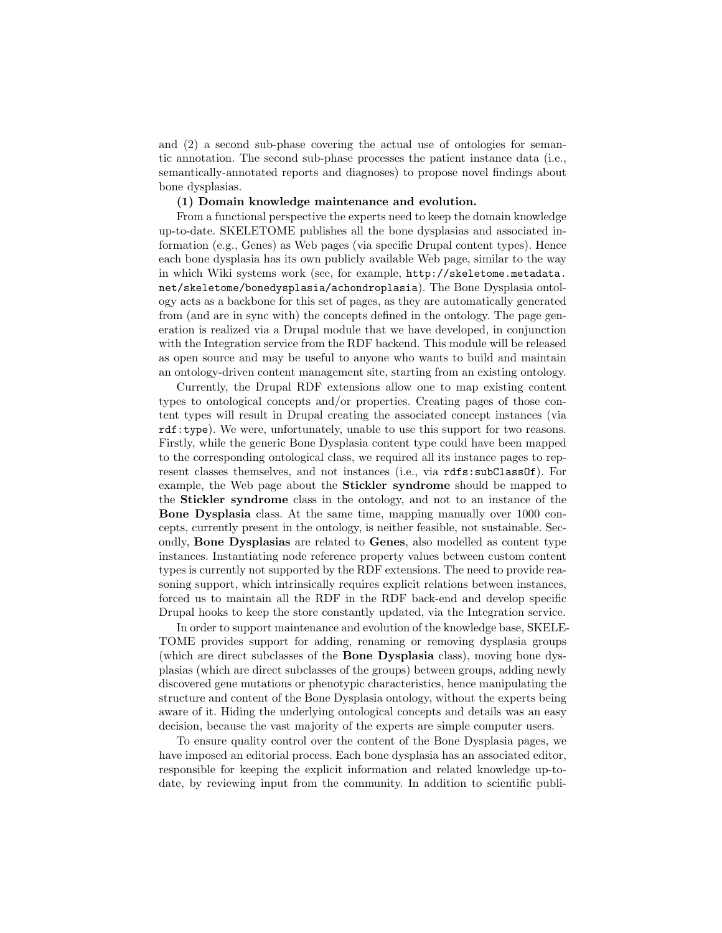and (2) a second sub-phase covering the actual use of ontologies for semantic annotation. The second sub-phase processes the patient instance data (i.e., semantically-annotated reports and diagnoses) to propose novel findings about bone dysplasias.

## (1) Domain knowledge maintenance and evolution.

From a functional perspective the experts need to keep the domain knowledge up-to-date. SKELETOME publishes all the bone dysplasias and associated information (e.g., Genes) as Web pages (via specific Drupal content types). Hence each bone dysplasia has its own publicly available Web page, similar to the way in which Wiki systems work (see, for example, http://skeletome.metadata. net/skeletome/bonedysplasia/achondroplasia). The Bone Dysplasia ontology acts as a backbone for this set of pages, as they are automatically generated from (and are in sync with) the concepts defined in the ontology. The page generation is realized via a Drupal module that we have developed, in conjunction with the Integration service from the RDF backend. This module will be released as open source and may be useful to anyone who wants to build and maintain an ontology-driven content management site, starting from an existing ontology.

Currently, the Drupal RDF extensions allow one to map existing content types to ontological concepts and/or properties. Creating pages of those content types will result in Drupal creating the associated concept instances (via rdf:type). We were, unfortunately, unable to use this support for two reasons. Firstly, while the generic Bone Dysplasia content type could have been mapped to the corresponding ontological class, we required all its instance pages to represent classes themselves, and not instances (i.e., via rdfs:subClassOf). For example, the Web page about the Stickler syndrome should be mapped to the Stickler syndrome class in the ontology, and not to an instance of the Bone Dysplasia class. At the same time, mapping manually over 1000 concepts, currently present in the ontology, is neither feasible, not sustainable. Secondly, Bone Dysplasias are related to Genes, also modelled as content type instances. Instantiating node reference property values between custom content types is currently not supported by the RDF extensions. The need to provide reasoning support, which intrinsically requires explicit relations between instances, forced us to maintain all the RDF in the RDF back-end and develop specific Drupal hooks to keep the store constantly updated, via the Integration service.

In order to support maintenance and evolution of the knowledge base, SKELE-TOME provides support for adding, renaming or removing dysplasia groups (which are direct subclasses of the Bone Dysplasia class), moving bone dysplasias (which are direct subclasses of the groups) between groups, adding newly discovered gene mutations or phenotypic characteristics, hence manipulating the structure and content of the Bone Dysplasia ontology, without the experts being aware of it. Hiding the underlying ontological concepts and details was an easy decision, because the vast majority of the experts are simple computer users.

To ensure quality control over the content of the Bone Dysplasia pages, we have imposed an editorial process. Each bone dysplasia has an associated editor, responsible for keeping the explicit information and related knowledge up-todate, by reviewing input from the community. In addition to scientific publi-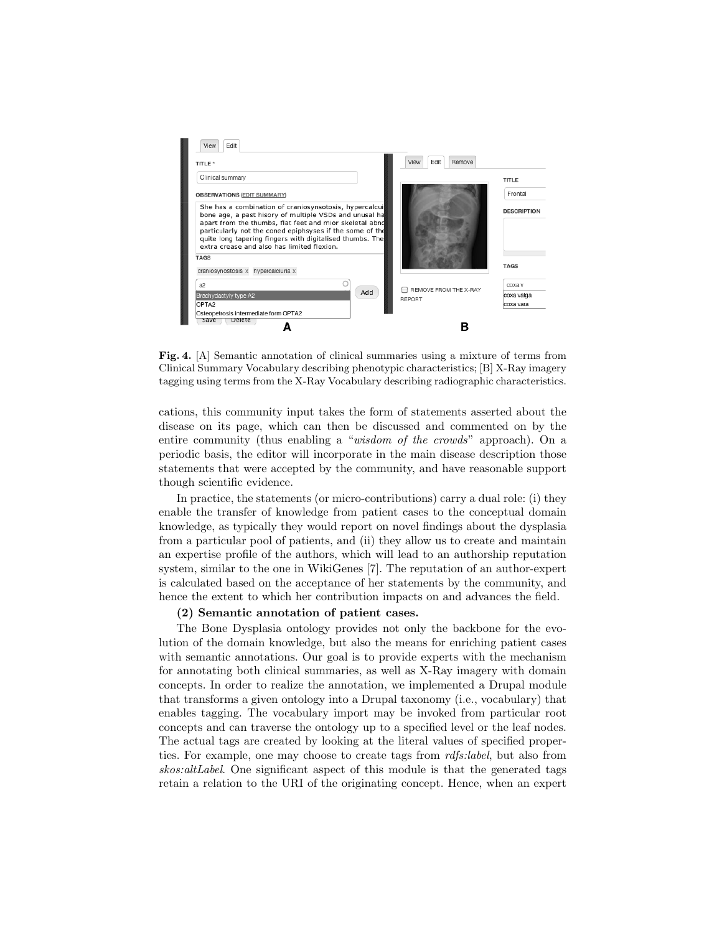

Fig. 4. [A] Semantic annotation of clinical summaries using a mixture of terms from Clinical Summary Vocabulary describing phenotypic characteristics; [B] X-Ray imagery tagging using terms from the X-Ray Vocabulary describing radiographic characteristics.

cations, this community input takes the form of statements asserted about the disease on its page, which can then be discussed and commented on by the entire community (thus enabling a "wisdom of the crowds" approach). On a periodic basis, the editor will incorporate in the main disease description those statements that were accepted by the community, and have reasonable support though scientific evidence.

In practice, the statements (or micro-contributions) carry a dual role: (i) they enable the transfer of knowledge from patient cases to the conceptual domain knowledge, as typically they would report on novel findings about the dysplasia from a particular pool of patients, and (ii) they allow us to create and maintain an expertise profile of the authors, which will lead to an authorship reputation system, similar to the one in WikiGenes [7]. The reputation of an author-expert is calculated based on the acceptance of her statements by the community, and hence the extent to which her contribution impacts on and advances the field.

## (2) Semantic annotation of patient cases.

The Bone Dysplasia ontology provides not only the backbone for the evolution of the domain knowledge, but also the means for enriching patient cases with semantic annotations. Our goal is to provide experts with the mechanism for annotating both clinical summaries, as well as X-Ray imagery with domain concepts. In order to realize the annotation, we implemented a Drupal module that transforms a given ontology into a Drupal taxonomy (i.e., vocabulary) that enables tagging. The vocabulary import may be invoked from particular root concepts and can traverse the ontology up to a specified level or the leaf nodes. The actual tags are created by looking at the literal values of specified properties. For example, one may choose to create tags from rdfs:label, but also from skos:altLabel. One significant aspect of this module is that the generated tags retain a relation to the URI of the originating concept. Hence, when an expert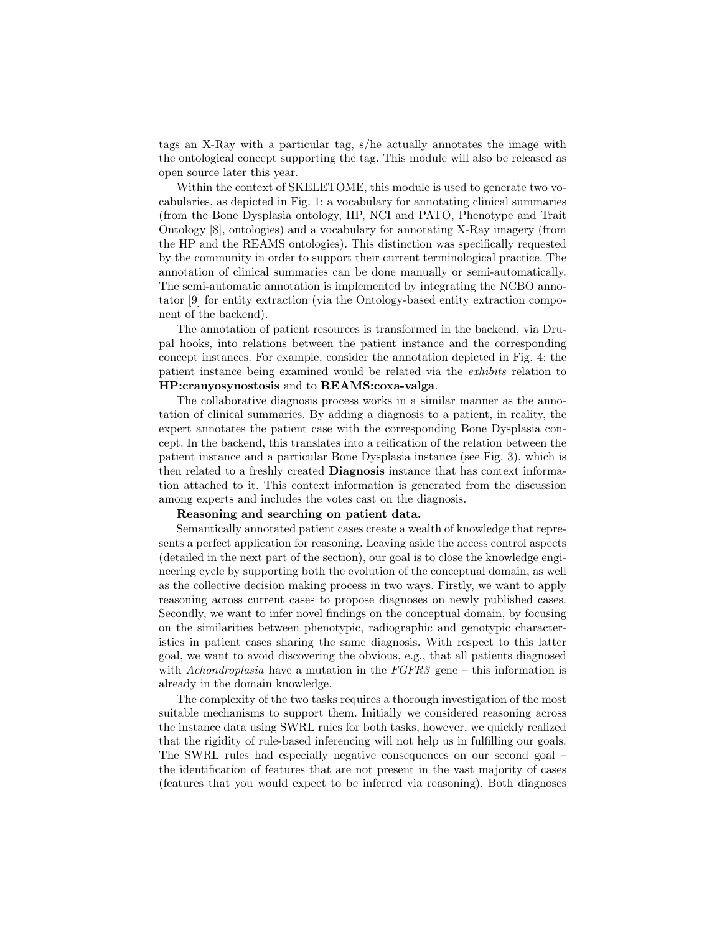tags an X-Ray with a particular tag, s/he actually annotates the image with the ontological concept supporting the tag. This module will also be released as open source later this year.

Within the context of SKELETOME, this module is used to generate two vocabularies, as depicted in Fig. 1: a vocabulary for annotating clinical summaries (from the Bone Dysplasia ontology, HP, NCI and PATO, Phenotype and Trait Ontology [8], ontologies) and a vocabulary for annotating X-Ray imagery (from the HP and the REAMS ontologies). This distinction was specifically requested by the community in order to support their current terminological practice. The annotation of clinical summaries can be done manually or semi-automatically. The semi-automatic annotation is implemented by integrating the NCBO annotator [9] for entity extraction (via the Ontology-based entity extraction component of the backend).

The annotation of patient resources is transformed in the backend, via Drupal hooks, into relations between the patient instance and the corresponding concept instances. For example, consider the annotation depicted in Fig. 4: the patient instance being examined would be related via the exhibits relation to HP:cranyosynostosis and to REAMS:coxa-valga.

The collaborative diagnosis process works in a similar manner as the annotation of clinical summaries. By adding a diagnosis to a patient, in reality, the expert annotates the patient case with the corresponding Bone Dysplasia concept. In the backend, this translates into a reification of the relation between the patient instance and a particular Bone Dysplasia instance (see Fig. 3), which is then related to a freshly created Diagnosis instance that has context information attached to it. This context information is generated from the discussion among experts and includes the votes cast on the diagnosis.

## Reasoning and searching on patient data.

Semantically annotated patient cases create a wealth of knowledge that represents a perfect application for reasoning. Leaving aside the access control aspects (detailed in the next part of the section), our goal is to close the knowledge engineering cycle by supporting both the evolution of the conceptual domain, as well as the collective decision making process in two ways. Firstly, we want to apply reasoning across current cases to propose diagnoses on newly published cases. Secondly, we want to infer novel findings on the conceptual domain, by focusing on the similarities between phenotypic, radiographic and genotypic characteristics in patient cases sharing the same diagnosis. With respect to this latter goal, we want to avoid discovering the obvious, e.g., that all patients diagnosed with Achondroplasia have a mutation in the  $FGFR3$  gene – this information is already in the domain knowledge.

The complexity of the two tasks requires a thorough investigation of the most suitable mechanisms to support them. Initially we considered reasoning across the instance data using SWRL rules for both tasks, however, we quickly realized that the rigidity of rule-based inferencing will not help us in fulfilling our goals. The SWRL rules had especially negative consequences on our second goal – the identification of features that are not present in the vast majority of cases (features that you would expect to be inferred via reasoning). Both diagnoses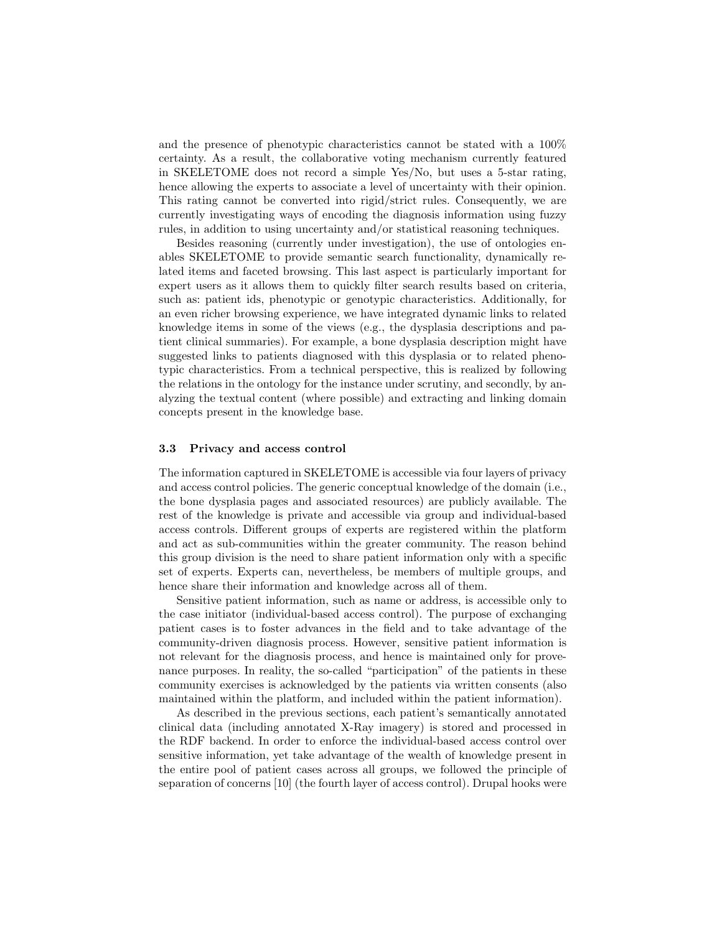and the presence of phenotypic characteristics cannot be stated with a 100% certainty. As a result, the collaborative voting mechanism currently featured in SKELETOME does not record a simple Yes/No, but uses a 5-star rating, hence allowing the experts to associate a level of uncertainty with their opinion. This rating cannot be converted into rigid/strict rules. Consequently, we are currently investigating ways of encoding the diagnosis information using fuzzy rules, in addition to using uncertainty and/or statistical reasoning techniques.

Besides reasoning (currently under investigation), the use of ontologies enables SKELETOME to provide semantic search functionality, dynamically related items and faceted browsing. This last aspect is particularly important for expert users as it allows them to quickly filter search results based on criteria, such as: patient ids, phenotypic or genotypic characteristics. Additionally, for an even richer browsing experience, we have integrated dynamic links to related knowledge items in some of the views (e.g., the dysplasia descriptions and patient clinical summaries). For example, a bone dysplasia description might have suggested links to patients diagnosed with this dysplasia or to related phenotypic characteristics. From a technical perspective, this is realized by following the relations in the ontology for the instance under scrutiny, and secondly, by analyzing the textual content (where possible) and extracting and linking domain concepts present in the knowledge base.

### 3.3 Privacy and access control

The information captured in SKELETOME is accessible via four layers of privacy and access control policies. The generic conceptual knowledge of the domain (i.e., the bone dysplasia pages and associated resources) are publicly available. The rest of the knowledge is private and accessible via group and individual-based access controls. Different groups of experts are registered within the platform and act as sub-communities within the greater community. The reason behind this group division is the need to share patient information only with a specific set of experts. Experts can, nevertheless, be members of multiple groups, and hence share their information and knowledge across all of them.

Sensitive patient information, such as name or address, is accessible only to the case initiator (individual-based access control). The purpose of exchanging patient cases is to foster advances in the field and to take advantage of the community-driven diagnosis process. However, sensitive patient information is not relevant for the diagnosis process, and hence is maintained only for provenance purposes. In reality, the so-called "participation" of the patients in these community exercises is acknowledged by the patients via written consents (also maintained within the platform, and included within the patient information).

As described in the previous sections, each patient's semantically annotated clinical data (including annotated X-Ray imagery) is stored and processed in the RDF backend. In order to enforce the individual-based access control over sensitive information, yet take advantage of the wealth of knowledge present in the entire pool of patient cases across all groups, we followed the principle of separation of concerns [10] (the fourth layer of access control). Drupal hooks were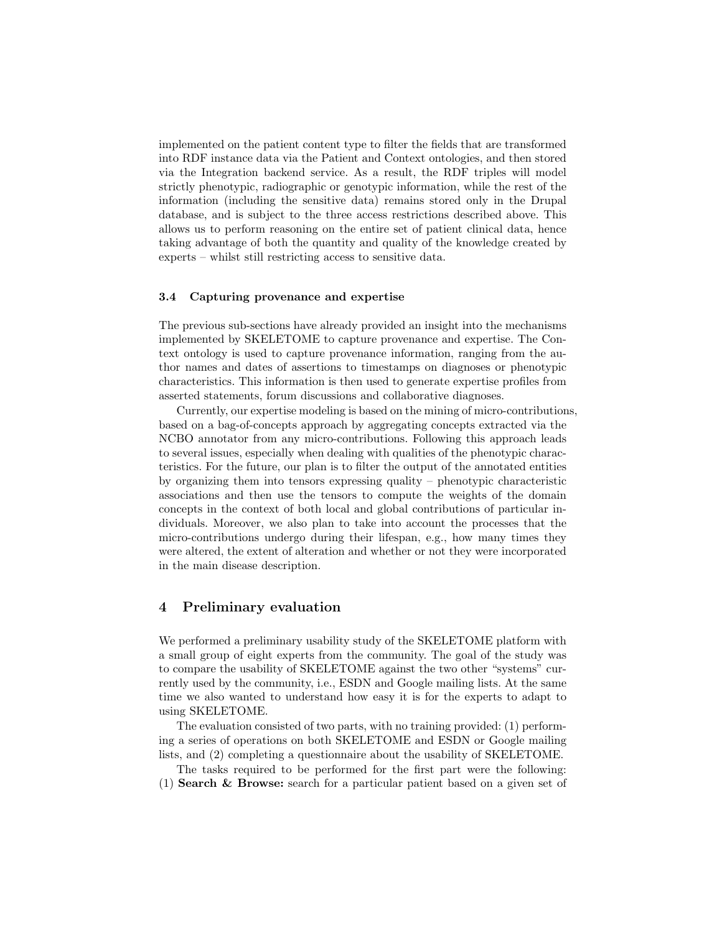implemented on the patient content type to filter the fields that are transformed into RDF instance data via the Patient and Context ontologies, and then stored via the Integration backend service. As a result, the RDF triples will model strictly phenotypic, radiographic or genotypic information, while the rest of the information (including the sensitive data) remains stored only in the Drupal database, and is subject to the three access restrictions described above. This allows us to perform reasoning on the entire set of patient clinical data, hence taking advantage of both the quantity and quality of the knowledge created by experts – whilst still restricting access to sensitive data.

## 3.4 Capturing provenance and expertise

The previous sub-sections have already provided an insight into the mechanisms implemented by SKELETOME to capture provenance and expertise. The Context ontology is used to capture provenance information, ranging from the author names and dates of assertions to timestamps on diagnoses or phenotypic characteristics. This information is then used to generate expertise profiles from asserted statements, forum discussions and collaborative diagnoses.

Currently, our expertise modeling is based on the mining of micro-contributions, based on a bag-of-concepts approach by aggregating concepts extracted via the NCBO annotator from any micro-contributions. Following this approach leads to several issues, especially when dealing with qualities of the phenotypic characteristics. For the future, our plan is to filter the output of the annotated entities by organizing them into tensors expressing quality – phenotypic characteristic associations and then use the tensors to compute the weights of the domain concepts in the context of both local and global contributions of particular individuals. Moreover, we also plan to take into account the processes that the micro-contributions undergo during their lifespan, e.g., how many times they were altered, the extent of alteration and whether or not they were incorporated in the main disease description.

## 4 Preliminary evaluation

We performed a preliminary usability study of the SKELETOME platform with a small group of eight experts from the community. The goal of the study was to compare the usability of SKELETOME against the two other "systems" currently used by the community, i.e., ESDN and Google mailing lists. At the same time we also wanted to understand how easy it is for the experts to adapt to using SKELETOME.

The evaluation consisted of two parts, with no training provided: (1) performing a series of operations on both SKELETOME and ESDN or Google mailing lists, and (2) completing a questionnaire about the usability of SKELETOME.

The tasks required to be performed for the first part were the following: (1) Search & Browse: search for a particular patient based on a given set of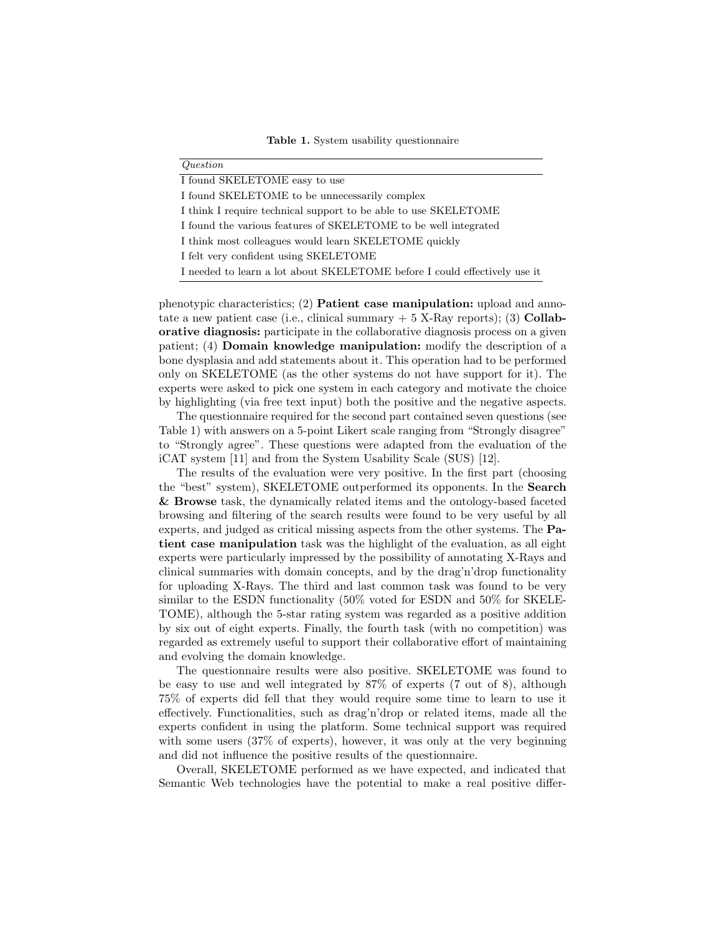Table 1. System usability questionnaire

#### Question

I found SKELETOME easy to use

I found SKELETOME to be unnecessarily complex

I think I require technical support to be able to use SKELETOME

I found the various features of SKELETOME to be well integrated

I think most colleagues would learn SKELETOME quickly

I felt very confident using SKELETOME

I needed to learn a lot about SKELETOME before I could effectively use it

phenotypic characteristics; (2) Patient case manipulation: upload and annotate a new patient case (i.e., clinical summary  $+5$  X-Ray reports); (3) Collaborative diagnosis: participate in the collaborative diagnosis process on a given patient; (4) Domain knowledge manipulation: modify the description of a bone dysplasia and add statements about it. This operation had to be performed only on SKELETOME (as the other systems do not have support for it). The experts were asked to pick one system in each category and motivate the choice by highlighting (via free text input) both the positive and the negative aspects.

The questionnaire required for the second part contained seven questions (see Table 1) with answers on a 5-point Likert scale ranging from "Strongly disagree" to "Strongly agree". These questions were adapted from the evaluation of the iCAT system [11] and from the System Usability Scale (SUS) [12].

The results of the evaluation were very positive. In the first part (choosing the "best" system), SKELETOME outperformed its opponents. In the Search & Browse task, the dynamically related items and the ontology-based faceted browsing and filtering of the search results were found to be very useful by all experts, and judged as critical missing aspects from the other systems. The Patient case manipulation task was the highlight of the evaluation, as all eight experts were particularly impressed by the possibility of annotating X-Rays and clinical summaries with domain concepts, and by the drag'n'drop functionality for uploading X-Rays. The third and last common task was found to be very similar to the ESDN functionality (50% voted for ESDN and 50% for SKELE-TOME), although the 5-star rating system was regarded as a positive addition by six out of eight experts. Finally, the fourth task (with no competition) was regarded as extremely useful to support their collaborative effort of maintaining and evolving the domain knowledge.

The questionnaire results were also positive. SKELETOME was found to be easy to use and well integrated by 87% of experts (7 out of 8), although 75% of experts did fell that they would require some time to learn to use it effectively. Functionalities, such as drag'n'drop or related items, made all the experts confident in using the platform. Some technical support was required with some users (37% of experts), however, it was only at the very beginning and did not influence the positive results of the questionnaire.

Overall, SKELETOME performed as we have expected, and indicated that Semantic Web technologies have the potential to make a real positive differ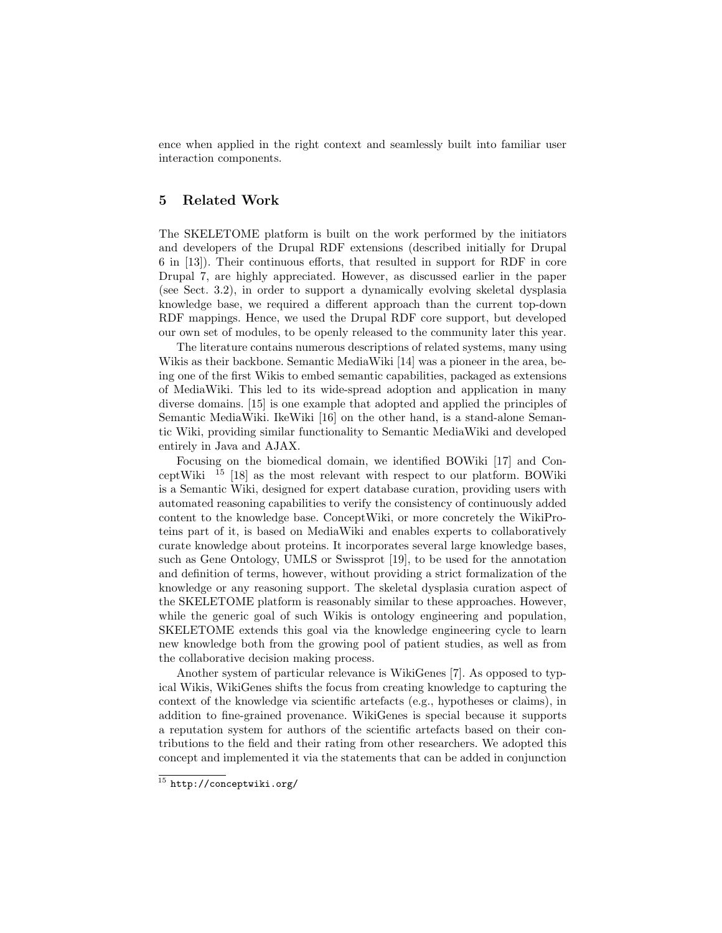ence when applied in the right context and seamlessly built into familiar user interaction components.

# 5 Related Work

The SKELETOME platform is built on the work performed by the initiators and developers of the Drupal RDF extensions (described initially for Drupal 6 in [13]). Their continuous efforts, that resulted in support for RDF in core Drupal 7, are highly appreciated. However, as discussed earlier in the paper (see Sect. 3.2), in order to support a dynamically evolving skeletal dysplasia knowledge base, we required a different approach than the current top-down RDF mappings. Hence, we used the Drupal RDF core support, but developed our own set of modules, to be openly released to the community later this year.

The literature contains numerous descriptions of related systems, many using Wikis as their backbone. Semantic MediaWiki [14] was a pioneer in the area, being one of the first Wikis to embed semantic capabilities, packaged as extensions of MediaWiki. This led to its wide-spread adoption and application in many diverse domains. [15] is one example that adopted and applied the principles of Semantic MediaWiki. IkeWiki [16] on the other hand, is a stand-alone Semantic Wiki, providing similar functionality to Semantic MediaWiki and developed entirely in Java and AJAX.

Focusing on the biomedical domain, we identified BOWiki [17] and ConceptWiki <sup>15</sup> [18] as the most relevant with respect to our platform. BOWiki is a Semantic Wiki, designed for expert database curation, providing users with automated reasoning capabilities to verify the consistency of continuously added content to the knowledge base. ConceptWiki, or more concretely the WikiProteins part of it, is based on MediaWiki and enables experts to collaboratively curate knowledge about proteins. It incorporates several large knowledge bases, such as Gene Ontology, UMLS or Swissprot [19], to be used for the annotation and definition of terms, however, without providing a strict formalization of the knowledge or any reasoning support. The skeletal dysplasia curation aspect of the SKELETOME platform is reasonably similar to these approaches. However, while the generic goal of such Wikis is ontology engineering and population, SKELETOME extends this goal via the knowledge engineering cycle to learn new knowledge both from the growing pool of patient studies, as well as from the collaborative decision making process.

Another system of particular relevance is WikiGenes [7]. As opposed to typical Wikis, WikiGenes shifts the focus from creating knowledge to capturing the context of the knowledge via scientific artefacts (e.g., hypotheses or claims), in addition to fine-grained provenance. WikiGenes is special because it supports a reputation system for authors of the scientific artefacts based on their contributions to the field and their rating from other researchers. We adopted this concept and implemented it via the statements that can be added in conjunction

 $15$  http://conceptwiki.org/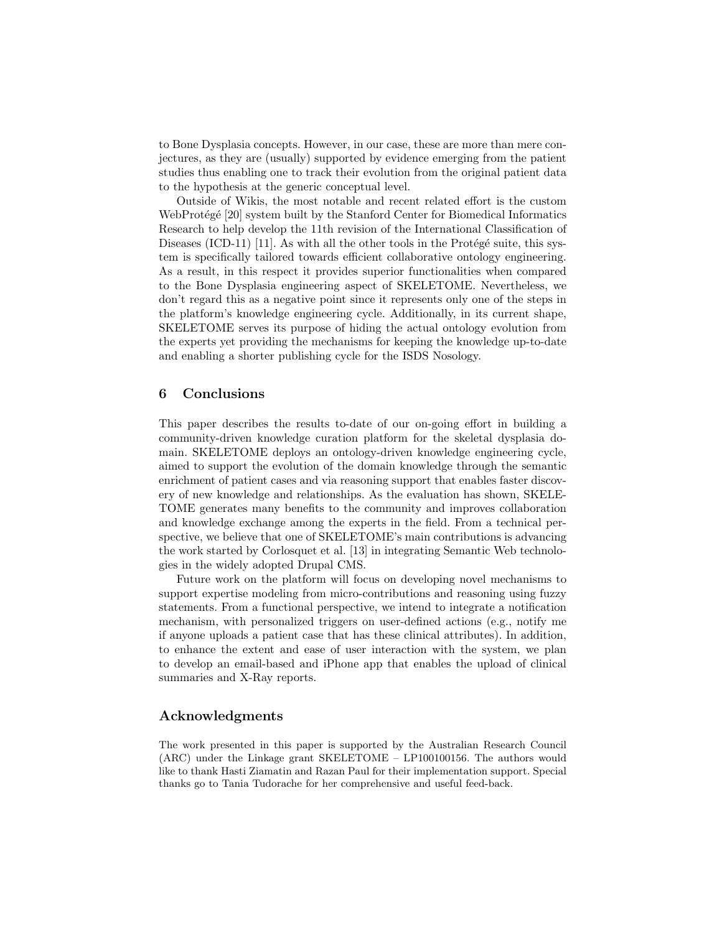to Bone Dysplasia concepts. However, in our case, these are more than mere conjectures, as they are (usually) supported by evidence emerging from the patient studies thus enabling one to track their evolution from the original patient data to the hypothesis at the generic conceptual level.

Outside of Wikis, the most notable and recent related effort is the custom WebProtégé [20] system built by the Stanford Center for Biomedical Informatics Research to help develop the 11th revision of the International Classification of Diseases  $(ICD-11)$  [11]. As with all the other tools in the Protégé suite, this system is specifically tailored towards efficient collaborative ontology engineering. As a result, in this respect it provides superior functionalities when compared to the Bone Dysplasia engineering aspect of SKELETOME. Nevertheless, we don't regard this as a negative point since it represents only one of the steps in the platform's knowledge engineering cycle. Additionally, in its current shape, SKELETOME serves its purpose of hiding the actual ontology evolution from the experts yet providing the mechanisms for keeping the knowledge up-to-date and enabling a shorter publishing cycle for the ISDS Nosology.

# 6 Conclusions

This paper describes the results to-date of our on-going effort in building a community-driven knowledge curation platform for the skeletal dysplasia domain. SKELETOME deploys an ontology-driven knowledge engineering cycle, aimed to support the evolution of the domain knowledge through the semantic enrichment of patient cases and via reasoning support that enables faster discovery of new knowledge and relationships. As the evaluation has shown, SKELE-TOME generates many benefits to the community and improves collaboration and knowledge exchange among the experts in the field. From a technical perspective, we believe that one of SKELETOME's main contributions is advancing the work started by Corlosquet et al. [13] in integrating Semantic Web technologies in the widely adopted Drupal CMS.

Future work on the platform will focus on developing novel mechanisms to support expertise modeling from micro-contributions and reasoning using fuzzy statements. From a functional perspective, we intend to integrate a notification mechanism, with personalized triggers on user-defined actions (e.g., notify me if anyone uploads a patient case that has these clinical attributes). In addition, to enhance the extent and ease of user interaction with the system, we plan to develop an email-based and iPhone app that enables the upload of clinical summaries and X-Ray reports.

# Acknowledgments

The work presented in this paper is supported by the Australian Research Council (ARC) under the Linkage grant SKELETOME – LP100100156. The authors would like to thank Hasti Ziamatin and Razan Paul for their implementation support. Special thanks go to Tania Tudorache for her comprehensive and useful feed-back.